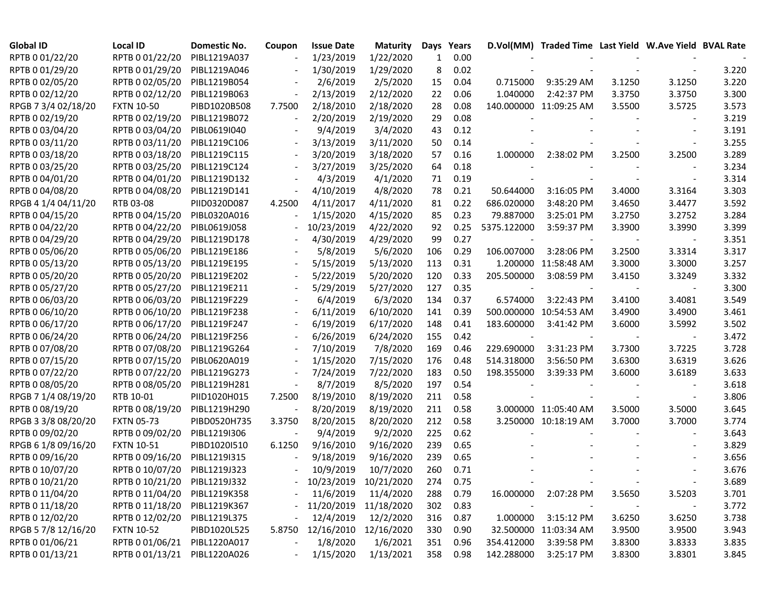| <b>Global ID</b>    | <b>Local ID</b>              | <b>Domestic No.</b> | Coupon                   | <b>Issue Date</b>       | <b>Maturity</b> | Days | Years |             | D.Vol(MM) Traded Time Last Yield W.Ave Yield BVAL Rate |        |                          |       |
|---------------------|------------------------------|---------------------|--------------------------|-------------------------|-----------------|------|-------|-------------|--------------------------------------------------------|--------|--------------------------|-------|
| RPTB 0 01/22/20     | RPTB 0 01/22/20              | PIBL1219A037        |                          | 1/23/2019               | 1/22/2020       | 1    | 0.00  |             |                                                        |        |                          |       |
| RPTB 0 01/29/20     | RPTB 0 01/29/20              | PIBL1219A046        |                          | 1/30/2019               | 1/29/2020       | 8    | 0.02  |             |                                                        |        |                          | 3.220 |
| RPTB 0 02/05/20     | RPTB 0 02/05/20              | PIBL1219B054        |                          | 2/6/2019                | 2/5/2020        | 15   | 0.04  | 0.715000    | 9:35:29 AM                                             | 3.1250 | 3.1250                   | 3.220 |
| RPTB 0 02/12/20     | RPTB 0 02/12/20              | PIBL1219B063        |                          | 2/13/2019               | 2/12/2020       | 22   | 0.06  | 1.040000    | 2:42:37 PM                                             | 3.3750 | 3.3750                   | 3.300 |
| RPGB 7 3/4 02/18/20 | <b>FXTN 10-50</b>            | PIBD1020B508        | 7.7500                   | 2/18/2010               | 2/18/2020       | 28   | 0.08  |             | 140.000000 11:09:25 AM                                 | 3.5500 | 3.5725                   | 3.573 |
| RPTB 0 02/19/20     | RPTB 0 02/19/20              | PIBL1219B072        | $\overline{\phantom{a}}$ | 2/20/2019               | 2/19/2020       | 29   | 0.08  |             |                                                        |        |                          | 3.219 |
| RPTB 0 03/04/20     | RPTB 0 03/04/20              | PIBL0619I040        |                          | 9/4/2019                | 3/4/2020        | 43   | 0.12  |             |                                                        |        |                          | 3.191 |
| RPTB 0 03/11/20     | RPTB 0 03/11/20              | PIBL1219C106        | $\blacksquare$           | 3/13/2019               | 3/11/2020       | 50   | 0.14  |             |                                                        |        |                          | 3.255 |
| RPTB 0 03/18/20     | RPTB 0 03/18/20              | PIBL1219C115        | $\blacksquare$           | 3/20/2019               | 3/18/2020       | 57   | 0.16  | 1.000000    | 2:38:02 PM                                             | 3.2500 | 3.2500                   | 3.289 |
| RPTB 0 03/25/20     | RPTB 0 03/25/20              | PIBL1219C124        |                          | 3/27/2019               | 3/25/2020       | 64   | 0.18  |             |                                                        |        | $\blacksquare$           | 3.234 |
| RPTB 0 04/01/20     | RPTB 0 04/01/20              | PIBL1219D132        |                          | 4/3/2019                | 4/1/2020        | 71   | 0.19  |             |                                                        |        | $\overline{\phantom{a}}$ | 3.314 |
| RPTB 0 04/08/20     | RPTB 0 04/08/20              | PIBL1219D141        | $\frac{1}{2}$            | 4/10/2019               | 4/8/2020        | 78   | 0.21  | 50.644000   | 3:16:05 PM                                             | 3.4000 | 3.3164                   | 3.303 |
| RPGB 4 1/4 04/11/20 | RTB 03-08                    | PIID0320D087        | 4.2500                   | 4/11/2017               | 4/11/2020       | 81   | 0.22  | 686.020000  | 3:48:20 PM                                             | 3.4650 | 3.4477                   | 3.592 |
| RPTB 0 04/15/20     | RPTB 0 04/15/20              | PIBL0320A016        |                          | 1/15/2020               | 4/15/2020       | 85   | 0.23  | 79.887000   | 3:25:01 PM                                             | 3.2750 | 3.2752                   | 3.284 |
| RPTB 0 04/22/20     | RPTB 0 04/22/20              | PIBL0619J058        |                          | 10/23/2019              | 4/22/2020       | 92   | 0.25  | 5375.122000 | 3:59:37 PM                                             | 3.3900 | 3.3990                   | 3.399 |
| RPTB 0 04/29/20     | RPTB 0 04/29/20              | PIBL1219D178        |                          | 4/30/2019               | 4/29/2020       | 99   | 0.27  |             |                                                        |        |                          | 3.351 |
| RPTB 0 05/06/20     | RPTB 0 05/06/20              | PIBL1219E186        |                          | 5/8/2019                | 5/6/2020        | 106  | 0.29  | 106.007000  | 3:28:06 PM                                             | 3.2500 | 3.3314                   | 3.317 |
| RPTB 0 05/13/20     | RPTB 0 05/13/20              | PIBL1219E195        |                          | 5/15/2019               | 5/13/2020       | 113  | 0.31  |             | 1.200000 11:58:48 AM                                   | 3.3000 | 3.3000                   | 3.257 |
| RPTB 0 05/20/20     | RPTB 0 05/20/20              | PIBL1219E202        |                          | 5/22/2019               | 5/20/2020       | 120  | 0.33  | 205.500000  | 3:08:59 PM                                             | 3.4150 | 3.3249                   | 3.332 |
| RPTB 0 05/27/20     | RPTB 0 05/27/20              | PIBL1219E211        |                          | 5/29/2019               | 5/27/2020       | 127  | 0.35  |             |                                                        |        |                          | 3.300 |
| RPTB 0 06/03/20     | RPTB 0 06/03/20              | PIBL1219F229        |                          | 6/4/2019                | 6/3/2020        | 134  | 0.37  | 6.574000    | 3:22:43 PM                                             | 3.4100 | 3.4081                   | 3.549 |
| RPTB 0 06/10/20     | RPTB 0 06/10/20              | PIBL1219F238        |                          | 6/11/2019               | 6/10/2020       | 141  | 0.39  |             | 500.000000 10:54:53 AM                                 | 3.4900 | 3.4900                   | 3.461 |
| RPTB 0 06/17/20     | RPTB 0 06/17/20              | PIBL1219F247        |                          | 6/19/2019               | 6/17/2020       | 148  | 0.41  | 183.600000  | 3:41:42 PM                                             | 3.6000 | 3.5992                   | 3.502 |
| RPTB 0 06/24/20     | RPTB 0 06/24/20              | PIBL1219F256        |                          | 6/26/2019               | 6/24/2020       | 155  | 0.42  |             |                                                        |        |                          | 3.472 |
| RPTB 0 07/08/20     | RPTB 0 07/08/20              | PIBL1219G264        |                          | 7/10/2019               | 7/8/2020        | 169  | 0.46  | 229.690000  | 3:31:23 PM                                             | 3.7300 | 3.7225                   | 3.728 |
| RPTB 0 07/15/20     | RPTB 0 07/15/20              | PIBL0620A019        |                          | 1/15/2020               | 7/15/2020       | 176  | 0.48  | 514.318000  | 3:56:50 PM                                             | 3.6300 | 3.6319                   | 3.626 |
| RPTB 0 07/22/20     | RPTB 0 07/22/20              | PIBL1219G273        |                          | 7/24/2019               | 7/22/2020       | 183  | 0.50  | 198.355000  | 3:39:33 PM                                             | 3.6000 | 3.6189                   | 3.633 |
| RPTB 0 08/05/20     | RPTB 0 08/05/20              | PIBL1219H281        |                          | 8/7/2019                | 8/5/2020        | 197  | 0.54  |             |                                                        |        |                          | 3.618 |
| RPGB 7 1/4 08/19/20 | RTB 10-01                    | PIID1020H015        | 7.2500                   | 8/19/2010               | 8/19/2020       | 211  | 0.58  |             |                                                        |        |                          | 3.806 |
| RPTB 0 08/19/20     | RPTB 0 08/19/20              | PIBL1219H290        |                          | 8/20/2019               | 8/19/2020       | 211  | 0.58  |             | 3.000000 11:05:40 AM                                   | 3.5000 | 3.5000                   | 3.645 |
| RPGB 3 3/8 08/20/20 | <b>FXTN 05-73</b>            | PIBD0520H735        | 3.3750                   | 8/20/2015               | 8/20/2020       | 212  | 0.58  |             | 3.250000 10:18:19 AM                                   | 3.7000 | 3.7000                   | 3.774 |
| RPTB 0 09/02/20     | RPTB 0 09/02/20              | PIBL1219I306        |                          | 9/4/2019                | 9/2/2020        | 225  | 0.62  |             |                                                        |        |                          | 3.643 |
| RPGB 6 1/8 09/16/20 | <b>FXTN 10-51</b>            | PIBD1020I510        | 6.1250                   | 9/16/2010               | 9/16/2020       | 239  | 0.65  |             |                                                        |        |                          | 3.829 |
| RPTB 0 09/16/20     | RPTB 0 09/16/20              | PIBL1219I315        |                          | 9/18/2019               | 9/16/2020       | 239  | 0.65  |             |                                                        |        |                          | 3.656 |
| RPTB 0 10/07/20     | RPTB 0 10/07/20              | PIBL1219J323        |                          | 10/9/2019               | 10/7/2020       | 260  | 0.71  |             |                                                        |        |                          | 3.676 |
| RPTB 0 10/21/20     | RPTB 0 10/21/20 PIBL1219J332 |                     |                          | - 10/23/2019 10/21/2020 |                 | 274  | 0.75  |             |                                                        |        |                          | 3.689 |
| RPTB 0 11/04/20     | RPTB 0 11/04/20              | PIBL1219K358        |                          | 11/6/2019               | 11/4/2020       | 288  | 0.79  | 16.000000   | 2:07:28 PM                                             | 3.5650 | 3.5203                   | 3.701 |
| RPTB 0 11/18/20     | RPTB 0 11/18/20              | PIBL1219K367        |                          | 11/20/2019              | 11/18/2020      | 302  | 0.83  |             |                                                        |        |                          | 3.772 |
| RPTB 0 12/02/20     | RPTB 0 12/02/20              | PIBL1219L375        |                          | 12/4/2019               | 12/2/2020       | 316  | 0.87  | 1.000000    | 3:15:12 PM                                             | 3.6250 | 3.6250                   | 3.738 |
| RPGB 5 7/8 12/16/20 | <b>FXTN 10-52</b>            | PIBD1020L525        | 5.8750                   | 12/16/2010              | 12/16/2020      | 330  | 0.90  |             | 32.500000 11:03:34 AM                                  | 3.9500 | 3.9500                   | 3.943 |
| RPTB 0 01/06/21     | RPTB 0 01/06/21              | PIBL1220A017        |                          | 1/8/2020                | 1/6/2021        | 351  | 0.96  | 354.412000  | 3:39:58 PM                                             | 3.8300 | 3.8333                   | 3.835 |
| RPTB 0 01/13/21     | RPTB 0 01/13/21 PIBL1220A026 |                     |                          | 1/15/2020               | 1/13/2021       | 358  | 0.98  | 142.288000  | 3:25:17 PM                                             | 3.8300 | 3.8301                   | 3.845 |
|                     |                              |                     |                          |                         |                 |      |       |             |                                                        |        |                          |       |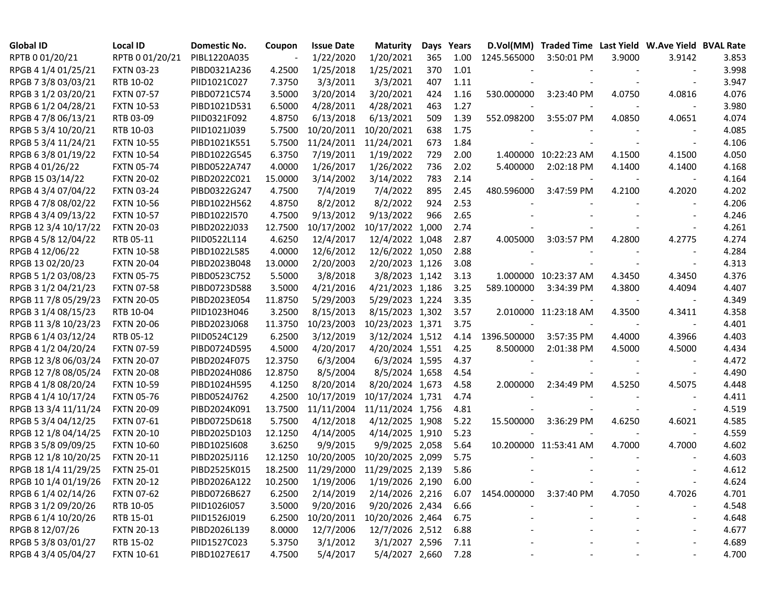| <b>Global ID</b>     | <b>Local ID</b>   | Domestic No. | Coupon  | <b>Issue Date</b> | <b>Maturity</b>  |       | Days Years |                             | D.Vol(MM) Traded Time Last Yield W.Ave Yield BVAL Rate |        |                          |       |
|----------------------|-------------------|--------------|---------|-------------------|------------------|-------|------------|-----------------------------|--------------------------------------------------------|--------|--------------------------|-------|
| RPTB 0 01/20/21      | RPTB 0 01/20/21   | PIBL1220A035 |         | 1/22/2020         | 1/20/2021        | 365   | 1.00       | 1245.565000                 | 3:50:01 PM                                             | 3.9000 | 3.9142                   | 3.853 |
| RPGB 4 1/4 01/25/21  | <b>FXTN 03-23</b> | PIBD0321A236 | 4.2500  | 1/25/2018         | 1/25/2021        | 370   | 1.01       |                             |                                                        |        |                          | 3.998 |
| RPGB 7 3/8 03/03/21  | RTB 10-02         | PIID1021C027 | 7.3750  | 3/3/2011          | 3/3/2021         | 407   | 1.11       |                             |                                                        |        |                          | 3.947 |
| RPGB 3 1/2 03/20/21  | <b>FXTN 07-57</b> | PIBD0721C574 | 3.5000  | 3/20/2014         | 3/20/2021        | 424   | 1.16       | 530.000000                  | 3:23:40 PM                                             | 4.0750 | 4.0816                   | 4.076 |
| RPGB 6 1/2 04/28/21  | <b>FXTN 10-53</b> | PIBD1021D531 | 6.5000  | 4/28/2011         | 4/28/2021        | 463   | 1.27       |                             |                                                        |        |                          | 3.980 |
| RPGB 4 7/8 06/13/21  | RTB 03-09         | PIID0321F092 | 4.8750  | 6/13/2018         | 6/13/2021        | 509   | 1.39       | 552.098200                  | 3:55:07 PM                                             | 4.0850 | 4.0651                   | 4.074 |
| RPGB 5 3/4 10/20/21  | RTB 10-03         | PIID1021J039 | 5.7500  | 10/20/2011        | 10/20/2021       | 638   | 1.75       |                             |                                                        |        |                          | 4.085 |
| RPGB 5 3/4 11/24/21  | <b>FXTN 10-55</b> | PIBD1021K551 | 5.7500  | 11/24/2011        | 11/24/2021       | 673   | 1.84       |                             |                                                        |        | $\overline{\phantom{a}}$ | 4.106 |
| RPGB 63/801/19/22    | <b>FXTN 10-54</b> | PIBD1022G545 | 6.3750  | 7/19/2011         | 1/19/2022        | 729   | 2.00       |                             | 1.400000 10:22:23 AM                                   | 4.1500 | 4.1500                   | 4.050 |
| RPGB 4 01/26/22      | <b>FXTN 05-74</b> | PIBD0522A747 | 4.0000  | 1/26/2017         | 1/26/2022        | 736   | 2.02       | 5.400000                    | 2:02:18 PM                                             | 4.1400 | 4.1400                   | 4.168 |
| RPGB 15 03/14/22     | <b>FXTN 20-02</b> | PIBD2022C021 | 15.0000 | 3/14/2002         | 3/14/2022        | 783   | 2.14       |                             |                                                        |        |                          | 4.164 |
| RPGB 4 3/4 07/04/22  | <b>FXTN 03-24</b> | PIBD0322G247 | 4.7500  | 7/4/2019          | 7/4/2022         | 895   | 2.45       | 480.596000                  | 3:47:59 PM                                             | 4.2100 | 4.2020                   | 4.202 |
| RPGB 4 7/8 08/02/22  | <b>FXTN 10-56</b> | PIBD1022H562 | 4.8750  | 8/2/2012          | 8/2/2022         | 924   | 2.53       |                             |                                                        |        |                          | 4.206 |
| RPGB 4 3/4 09/13/22  | <b>FXTN 10-57</b> | PIBD1022I570 | 4.7500  | 9/13/2012         | 9/13/2022        | 966   | 2.65       |                             |                                                        |        |                          | 4.246 |
| RPGB 12 3/4 10/17/22 | <b>FXTN 20-03</b> | PIBD2022J033 | 12.7500 | 10/17/2002        | 10/17/2022       | 1,000 | 2.74       |                             |                                                        |        |                          | 4.261 |
| RPGB 4 5/8 12/04/22  | RTB 05-11         | PIID0522L114 | 4.6250  | 12/4/2017         | 12/4/2022 1,048  |       | 2.87       | 4.005000                    | 3:03:57 PM                                             | 4.2800 | 4.2775                   | 4.274 |
| RPGB 4 12/06/22      | <b>FXTN 10-58</b> | PIBD1022L585 | 4.0000  | 12/6/2012         | 12/6/2022 1,050  |       | 2.88       |                             |                                                        |        |                          | 4.284 |
| RPGB 13 02/20/23     | <b>FXTN 20-04</b> | PIBD2023B048 | 13.0000 | 2/20/2003         | 2/20/2023 1,126  |       | 3.08       |                             |                                                        |        |                          | 4.313 |
| RPGB 5 1/2 03/08/23  | <b>FXTN 05-75</b> | PIBD0523C752 | 5.5000  | 3/8/2018          | 3/8/2023 1,142   |       | 3.13       |                             | 1.000000 10:23:37 AM                                   | 4.3450 | 4.3450                   | 4.376 |
| RPGB 3 1/2 04/21/23  | <b>FXTN 07-58</b> | PIBD0723D588 | 3.5000  | 4/21/2016         | 4/21/2023 1,186  |       | 3.25       | 589.100000                  | 3:34:39 PM                                             | 4.3800 | 4.4094                   | 4.407 |
| RPGB 11 7/8 05/29/23 | <b>FXTN 20-05</b> | PIBD2023E054 | 11.8750 | 5/29/2003         | 5/29/2023 1,224  |       | 3.35       |                             |                                                        |        |                          | 4.349 |
| RPGB 3 1/4 08/15/23  | RTB 10-04         | PIID1023H046 | 3.2500  | 8/15/2013         | 8/15/2023 1,302  |       | 3.57       |                             | 2.010000 11:23:18 AM                                   | 4.3500 | 4.3411                   | 4.358 |
| RPGB 11 3/8 10/23/23 | <b>FXTN 20-06</b> | PIBD2023J068 | 11.3750 | 10/23/2003        | 10/23/2023 1,371 |       | 3.75       |                             |                                                        |        |                          | 4.401 |
| RPGB 6 1/4 03/12/24  | RTB 05-12         | PIID0524C129 | 6.2500  | 3/12/2019         | 3/12/2024 1,512  |       | 4.14       | 1396.500000                 | 3:57:35 PM                                             | 4.4000 | 4.3966                   | 4.403 |
| RPGB 4 1/2 04/20/24  | <b>FXTN 07-59</b> | PIBD0724D595 | 4.5000  | 4/20/2017         | 4/20/2024 1,551  |       | 4.25       | 8.500000                    | 2:01:38 PM                                             | 4.5000 | 4.5000                   | 4.434 |
| RPGB 12 3/8 06/03/24 | <b>FXTN 20-07</b> | PIBD2024F075 | 12.3750 | 6/3/2004          | 6/3/2024 1,595   |       | 4.37       |                             |                                                        |        |                          | 4.472 |
| RPGB 12 7/8 08/05/24 | <b>FXTN 20-08</b> | PIBD2024H086 | 12.8750 | 8/5/2004          | 8/5/2024 1,658   |       | 4.54       |                             |                                                        |        |                          | 4.490 |
| RPGB 4 1/8 08/20/24  | <b>FXTN 10-59</b> | PIBD1024H595 | 4.1250  | 8/20/2014         | 8/20/2024 1,673  |       | 4.58       | 2.000000                    | 2:34:49 PM                                             | 4.5250 | 4.5075                   | 4.448 |
| RPGB 4 1/4 10/17/24  | <b>FXTN 05-76</b> | PIBD0524J762 | 4.2500  | 10/17/2019        | 10/17/2024 1,731 |       | 4.74       |                             |                                                        |        |                          | 4.411 |
| RPGB 13 3/4 11/11/24 | <b>FXTN 20-09</b> | PIBD2024K091 | 13.7500 | 11/11/2004        | 11/11/2024 1,756 |       | 4.81       |                             |                                                        |        |                          | 4.519 |
| RPGB 5 3/4 04/12/25  | <b>FXTN 07-61</b> | PIBD0725D618 | 5.7500  | 4/12/2018         | 4/12/2025 1,908  |       | 5.22       | 15.500000                   | 3:36:29 PM                                             | 4.6250 | 4.6021                   | 4.585 |
| RPGB 12 1/8 04/14/25 | <b>FXTN 20-10</b> | PIBD2025D103 | 12.1250 | 4/14/2005         | 4/14/2025 1,910  |       | 5.23       |                             |                                                        |        | $\overline{\phantom{a}}$ | 4.559 |
| RPGB 3 5/8 09/09/25  | <b>FXTN 10-60</b> | PIBD10251608 | 3.6250  | 9/9/2015          | 9/9/2025 2,058   |       | 5.64       |                             | 10.200000 11:53:41 AM                                  | 4.7000 | 4.7000                   | 4.602 |
| RPGB 12 1/8 10/20/25 | <b>FXTN 20-11</b> | PIBD2025J116 | 12.1250 | 10/20/2005        | 10/20/2025 2,099 |       | 5.75       |                             |                                                        |        |                          | 4.603 |
| RPGB 18 1/4 11/29/25 | <b>FXTN 25-01</b> | PIBD2525K015 | 18.2500 | 11/29/2000        | 11/29/2025 2,139 |       | 5.86       |                             |                                                        |        |                          | 4.612 |
| RPGB 10 1/4 01/19/26 | <b>FXTN 20-12</b> | PIBD2026A122 | 10.2500 | 1/19/2006         | 1/19/2026 2,190  |       | 6.00       |                             |                                                        |        |                          | 4.624 |
| RPGB 6 1/4 02/14/26  | <b>FXTN 07-62</b> | PIBD0726B627 | 6.2500  | 2/14/2019         | 2/14/2026 2,216  |       |            | 6.07 1454.000000 3:37:40 PM |                                                        | 4.7050 | 4.7026                   | 4.701 |
| RPGB 3 1/2 09/20/26  | RTB 10-05         | PIID1026I057 | 3.5000  | 9/20/2016         | 9/20/2026 2,434  |       | 6.66       |                             |                                                        |        |                          | 4.548 |
| RPGB 6 1/4 10/20/26  | RTB 15-01         | PIID1526J019 | 6.2500  | 10/20/2011        | 10/20/2026 2,464 |       | 6.75       |                             |                                                        |        |                          | 4.648 |
| RPGB 8 12/07/26      | <b>FXTN 20-13</b> | PIBD2026L139 | 8.0000  | 12/7/2006         | 12/7/2026 2,512  |       | 6.88       |                             |                                                        |        |                          | 4.677 |
| RPGB 5 3/8 03/01/27  | RTB 15-02         | PIID1527C023 | 5.3750  | 3/1/2012          | 3/1/2027 2,596   |       | 7.11       |                             |                                                        |        |                          | 4.689 |
| RPGB 4 3/4 05/04/27  | <b>FXTN 10-61</b> | PIBD1027E617 | 4.7500  | 5/4/2017          | 5/4/2027 2,660   |       | 7.28       |                             |                                                        |        |                          | 4.700 |